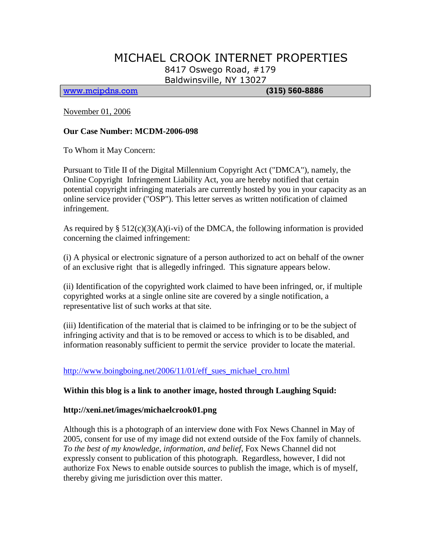# MICHAEL CROOK INTERNET PROPERTIES 8417 Oswego Road, #179

Baldwinsville, NY 13027

[www.mcipdns.com](http://www.mcipdns.com/) **(315) 560-8886**

November 01, 2006

### **Our Case Number: MCDM-2006-098**

To Whom it May Concern:

Pursuant to Title II of the Digital Millennium Copyright Act ("DMCA"), namely, the Online Copyright Infringement Liability Act, you are hereby notified that certain potential copyright infringing materials are currently hosted by you in your capacity as an online service provider ("OSP"). This letter serves as written notification of claimed infringement.

As required by  $\S 512(c)(3)(A)(i-vi)$  of the DMCA, the following information is provided concerning the claimed infringement:

(i) A physical or electronic signature of a person authorized to act on behalf of the owner of an exclusive right that is allegedly infringed. This signature appears below.

(ii) Identification of the copyrighted work claimed to have been infringed, or, if multiple copyrighted works at a single online site are covered by a single notification, a representative list of such works at that site.

(iii) Identification of the material that is claimed to be infringing or to be the subject of infringing activity and that is to be removed or access to which is to be disabled, and information reasonably sufficient to permit the service provider to locate the material.

# http://www.boingboing.net/2006/11/01/eff sues michael cro.html

#### **Within this blog is a link to another image, hosted through Laughing Squid:**

#### **http://xeni.net/images/michaelcrook01.png**

Although this is a photograph of an interview done with Fox News Channel in May of 2005, consent for use of my image did not extend outside of the Fox family of channels. *To the best of my knowledge, information, and belief*, Fox News Channel did not expressly consent to publication of this photograph. Regardless, however, I did not authorize Fox News to enable outside sources to publish the image, which is of myself, thereby giving me jurisdiction over this matter.